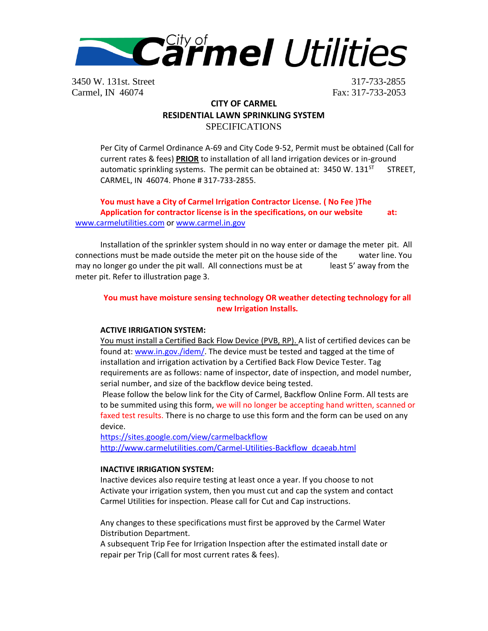

3450 W. 131st. Street 317-733-2855 Carmel, IN 46074 Fax: 317-733-2053

# **CITY OF CARMEL RESIDENTIAL LAWN SPRINKLING SYSTEM SPECIFICATIONS**

Per City of Carmel Ordinance A-69 and City Code 9-52, Permit must be obtained (Call for current rates & fees) **PRIOR** to installation of all land irrigation devices or in-ground automatic sprinkling systems. The permit can be obtained at:  $3450$  W.  $131<sup>ST</sup>$  STREET, CARMEL, IN 46074. Phone # 317-733-2855.

**You must have a City of Carmel Irrigation Contractor License. ( No Fee )The Application for contractor license is in the specifications, on our website at:** [www.carmelutilities.com](http://www.carmelutilities.com/) or [www.carmel.in.gov](http://www.carmel.in.gov/)

Installation of the sprinkler system should in no way enter or damage the meter pit. All connections must be made outside the meter pit on the house side of the water line. You may no longer go under the pit wall. All connections must be at least 5' away from the meter pit. Refer to illustration page 3.

### **You must have moisture sensing technology OR weather detecting technology for all new Irrigation Installs.**

### **ACTIVE IRRIGATION SYSTEM:**

You must install a Certified Back Flow Device (PVB, RP). A list of certified devices can be found at: [www.in.gov./idem/.](http://www.in.gov./idem/) The device must be tested and tagged at the time of installation and irrigation activation by a Certified Back Flow Device Tester. Tag requirements are as follows: name of inspector, date of inspection, and model number, serial number, and size of the backflow device being tested.

Please follow the below link for the City of Carmel, Backflow Online Form. All tests are to be summited using this form, we will no longer be accepting hand written, scanned or faxed test results. There is no charge to use this form and the form can be used on any device.

<https://sites.google.com/view/carmelbackflow> http://www.carmelutilities.com/Carmel-Utilities-Backflow dcaeab.html

#### **INACTIVE IRRIGATION SYSTEM:**

Inactive devices also require testing at least once a year. If you choose to not Activate your irrigation system, then you must cut and cap the system and contact Carmel Utilities for inspection. Please call for Cut and Cap instructions.

Any changes to these specifications must first be approved by the Carmel Water Distribution Department.

A subsequent Trip Fee for Irrigation Inspection after the estimated install date or repair per Trip (Call for most current rates & fees).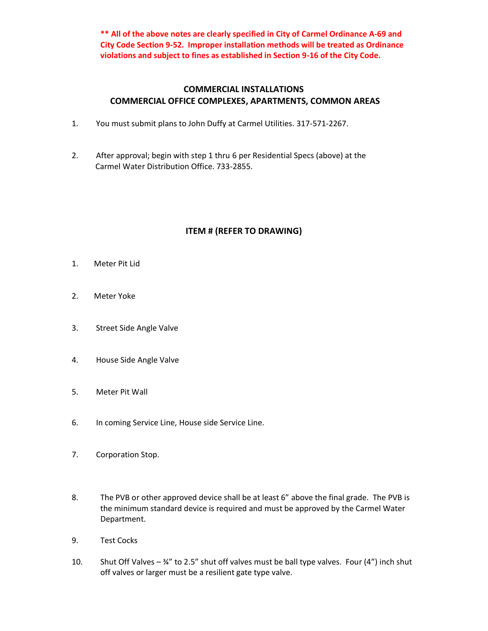**\*\* All of the above notes are clearly specified in City of Carmel Ordinance A-69 and City Code Section 9-52. Improper installation methods will be treated as Ordinance violations and subject to fines as established in Section 9-16 of the City Code.**

## **COMMERCIAL INSTALLATIONS COMMERCIAL OFFICE COMPLEXES, APARTMENTS, COMMON AREAS**

- 1. You must submit plans to John Duffy at Carmel Utilities. 317-571-2267.
- 2. After approval; begin with step 1 thru 6 per Residential Specs (above) at the Carmel Water Distribution Office. 733-2855.

## **ITEM # (REFER TO DRAWING)**

- 1. Meter Pit Lid
- 2. Meter Yoke
- 3. Street Side Angle Valve
- 4. House Side Angle Valve
- 5. Meter Pit Wall
- 6. In coming Service Line, House side Service Line.
- 7. Corporation Stop.
- 8. The PVB or other approved device shall be at least 6" above the final grade. The PVB is the minimum standard device is required and must be approved by the Carmel Water Department.
- 9. Test Cocks
- 10. Shut Off Valves  $\frac{3}{4}$ " to 2.5" shut off valves must be ball type valves. Four (4") inch shut off valves or larger must be a resilient gate type valve.